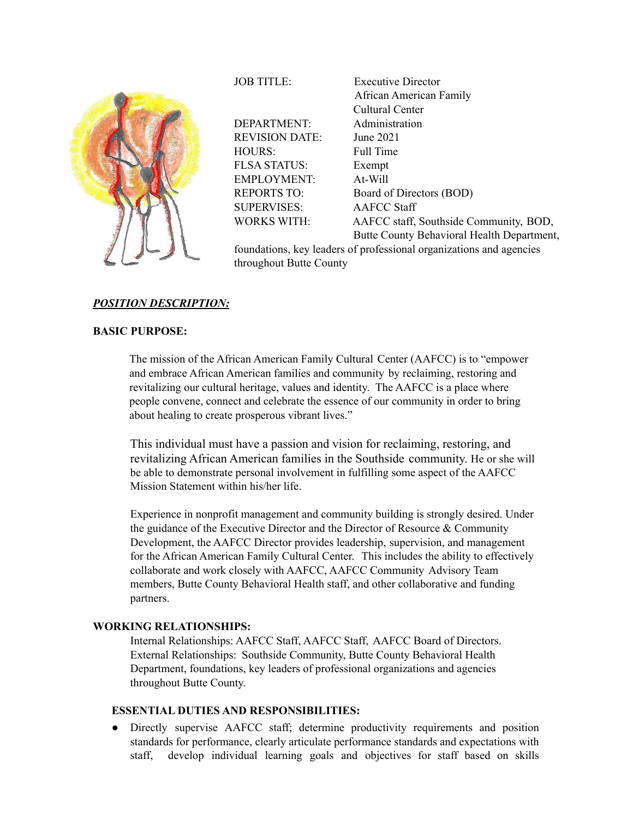

DEPARTMENT: Administration REVISION DATE: June 2021 HOURS: Full Time FLSA STATUS: Exempt EMPLOYMENT: At-Will SUPERVISES: AAFCC Staff

JOB TITLE: Executive Director African American Family Cultural Center REPORTS TO: Board of Directors (BOD) WORKS WITH: AAFCC staff, Southside Community, BOD, Butte County Behavioral Health Department,

foundations, key leaders of professional organizations and agencies throughout Butte County

# *POSITION DESCRIPTION:*

# **BASIC PURPOSE:**

The mission of the African American Family Cultural Center (AAFCC) is to "empower and embrace African American families and community by reclaiming, restoring and revitalizing our cultural heritage, values and identity. The AAFCC is a place where people convene, connect and celebrate the essence of our community in order to bring about healing to create prosperous vibrant lives."

This individual must have a passion and vision for reclaiming, restoring, and revitalizing African American families in the Southside community. He or she will be able to demonstrate personal involvement in fulfilling some aspect of the AAFCC Mission Statement within his/her life.

Experience in nonprofit management and community building is strongly desired. Under the guidance of the Executive Director and the Director of Resource  $&$  Community Development, the AAFCC Director provides leadership, supervision, and management for the African American Family Cultural Center. This includes the ability to effectively collaborate and work closely with AAFCC, AAFCC Community Advisory Team members, Butte County Behavioral Health staff, and other collaborative and funding partners.

# **WORKING RELATIONSHIPS:**

Internal Relationships: AAFCC Staff, AAFCC Staff, AAFCC Board of Directors. External Relationships: Southside Community, Butte County Behavioral Health Department, foundations, key leaders of professional organizations and agencies throughout Butte County.

# **ESSENTIAL DUTIES AND RESPONSIBILITIES:**

● Directly supervise AAFCC staff; determine productivity requirements and position standards for performance, clearly articulate performance standards and expectations with staff, develop individual learning goals and objectives for staff based on skills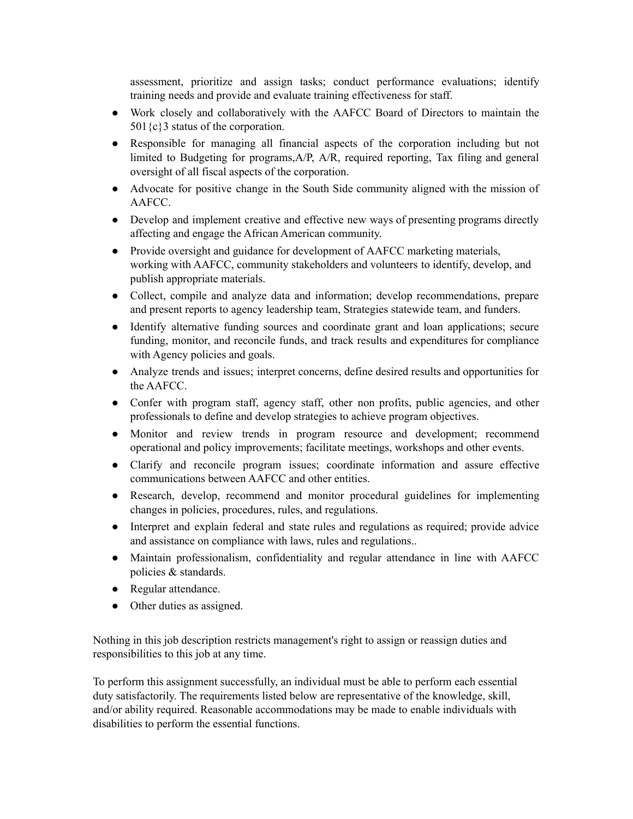assessment, prioritize and assign tasks; conduct performance evaluations; identify training needs and provide and evaluate training effectiveness for staff.

- Work closely and collaboratively with the AAFCC Board of Directors to maintain the 501 ${c}$ 3 status of the corporation.
- Responsible for managing all financial aspects of the corporation including but not limited to Budgeting for programs,A/P, A/R, required reporting, Tax filing and general oversight of all fiscal aspects of the corporation.
- Advocate for positive change in the South Side community aligned with the mission of AAFCC.
- Develop and implement creative and effective new ways of presenting programs directly affecting and engage the African American community.
- Provide oversight and guidance for development of AAFCC marketing materials, working with AAFCC, community stakeholders and volunteers to identify, develop, and publish appropriate materials.
- Collect, compile and analyze data and information; develop recommendations, prepare and present reports to agency leadership team, Strategies statewide team, and funders.
- Identify alternative funding sources and coordinate grant and loan applications; secure funding, monitor, and reconcile funds, and track results and expenditures for compliance with Agency policies and goals.
- Analyze trends and issues; interpret concerns, define desired results and opportunities for the AAFCC.
- Confer with program staff, agency staff, other non profits, public agencies, and other professionals to define and develop strategies to achieve program objectives.
- Monitor and review trends in program resource and development; recommend operational and policy improvements; facilitate meetings, workshops and other events.
- Clarify and reconcile program issues; coordinate information and assure effective communications between AAFCC and other entities.
- Research, develop, recommend and monitor procedural guidelines for implementing changes in policies, procedures, rules, and regulations.
- Interpret and explain federal and state rules and regulations as required; provide advice and assistance on compliance with laws, rules and regulations..
- Maintain professionalism, confidentiality and regular attendance in line with AAFCC policies & standards.
- Regular attendance.
- Other duties as assigned.

Nothing in this job description restricts management's right to assign or reassign duties and responsibilities to this job at any time.

To perform this assignment successfully, an individual must be able to perform each essential duty satisfactorily. The requirements listed below are representative of the knowledge, skill, and/or ability required. Reasonable accommodations may be made to enable individuals with disabilities to perform the essential functions.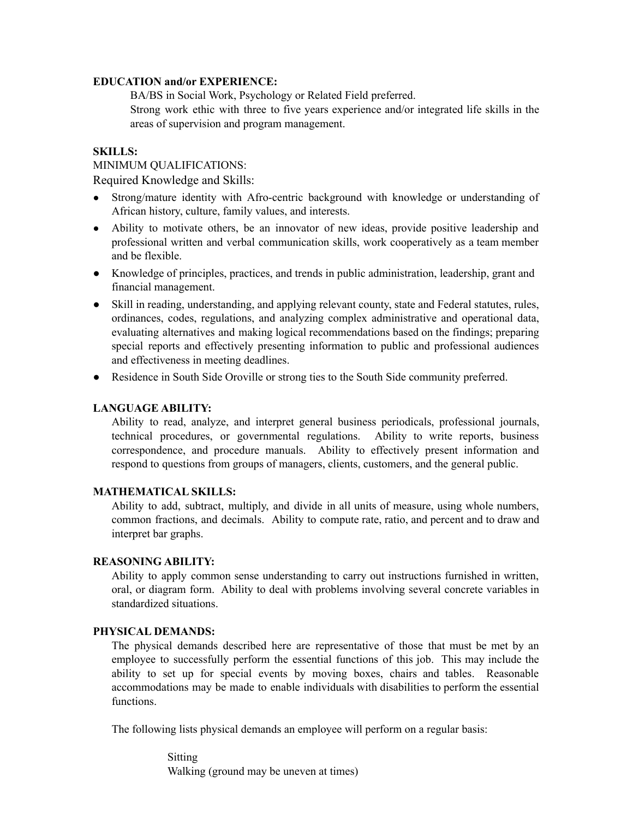## **EDUCATION and/or EXPERIENCE:**

BA/BS in Social Work, Psychology or Related Field preferred. Strong work ethic with three to five years experience and/or integrated life skills in the areas of supervision and program management.

### **SKILLS:**

## MINIMUM QUALIFICATIONS:

Required Knowledge and Skills:

- Strong/mature identity with Afro-centric background with knowledge or understanding of African history, culture, family values, and interests.
- Ability to motivate others, be an innovator of new ideas, provide positive leadership and professional written and verbal communication skills, work cooperatively as a team member and be flexible.
- Knowledge of principles, practices, and trends in public administration, leadership, grant and financial management.
- Skill in reading, understanding, and applying relevant county, state and Federal statutes, rules, ordinances, codes, regulations, and analyzing complex administrative and operational data, evaluating alternatives and making logical recommendations based on the findings; preparing special reports and effectively presenting information to public and professional audiences and effectiveness in meeting deadlines.
- Residence in South Side Oroville or strong ties to the South Side community preferred.

#### **LANGUAGE ABILITY:**

Ability to read, analyze, and interpret general business periodicals, professional journals, technical procedures, or governmental regulations. Ability to write reports, business correspondence, and procedure manuals. Ability to effectively present information and respond to questions from groups of managers, clients, customers, and the general public.

## **MATHEMATICAL SKILLS:**

Ability to add, subtract, multiply, and divide in all units of measure, using whole numbers, common fractions, and decimals. Ability to compute rate, ratio, and percent and to draw and interpret bar graphs.

#### **REASONING ABILITY:**

Ability to apply common sense understanding to carry out instructions furnished in written, oral, or diagram form. Ability to deal with problems involving several concrete variables in standardized situations.

## **PHYSICAL DEMANDS:**

The physical demands described here are representative of those that must be met by an employee to successfully perform the essential functions of this job. This may include the ability to set up for special events by moving boxes, chairs and tables. Reasonable accommodations may be made to enable individuals with disabilities to perform the essential functions.

The following lists physical demands an employee will perform on a regular basis:

Sitting Walking (ground may be uneven at times)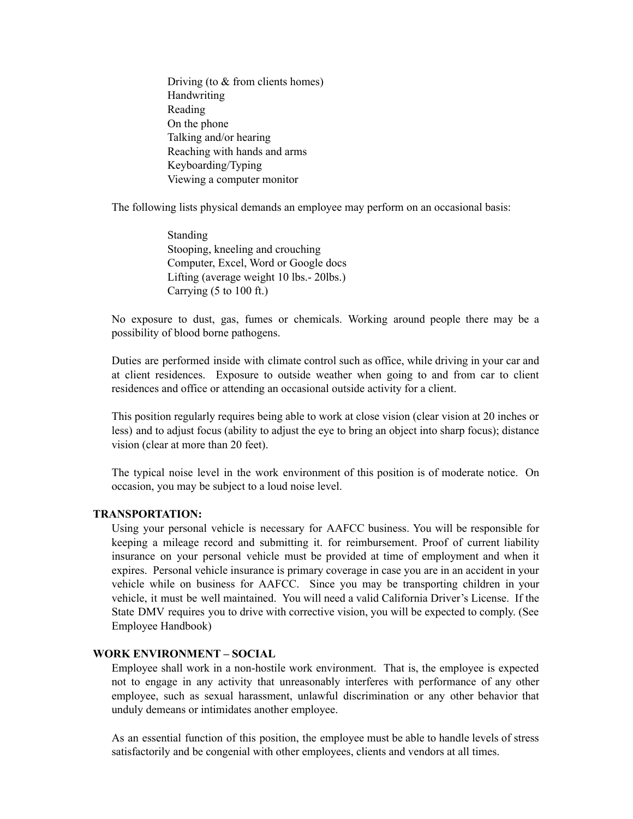Driving (to & from clients homes) Handwriting Reading On the phone Talking and/or hearing Reaching with hands and arms Keyboarding/Typing Viewing a computer monitor

The following lists physical demands an employee may perform on an occasional basis:

Standing Stooping, kneeling and crouching Computer, Excel, Word or Google docs Lifting (average weight 10 lbs.- 20lbs.) Carrying (5 to 100 ft.)

No exposure to dust, gas, fumes or chemicals. Working around people there may be a possibility of blood borne pathogens.

Duties are performed inside with climate control such as office, while driving in your car and at client residences. Exposure to outside weather when going to and from car to client residences and office or attending an occasional outside activity for a client.

This position regularly requires being able to work at close vision (clear vision at 20 inches or less) and to adjust focus (ability to adjust the eye to bring an object into sharp focus); distance vision (clear at more than 20 feet).

The typical noise level in the work environment of this position is of moderate notice. On occasion, you may be subject to a loud noise level.

# **TRANSPORTATION:**

Using your personal vehicle is necessary for AAFCC business. You will be responsible for keeping a mileage record and submitting it. for reimbursement. Proof of current liability insurance on your personal vehicle must be provided at time of employment and when it expires. Personal vehicle insurance is primary coverage in case you are in an accident in your vehicle while on business for AAFCC. Since you may be transporting children in your vehicle, it must be well maintained. You will need a valid California Driver's License. If the State DMV requires you to drive with corrective vision, you will be expected to comply. (See Employee Handbook)

# **WORK ENVIRONMENT – SOCIAL**

Employee shall work in a non-hostile work environment. That is, the employee is expected not to engage in any activity that unreasonably interferes with performance of any other employee, such as sexual harassment, unlawful discrimination or any other behavior that unduly demeans or intimidates another employee.

As an essential function of this position, the employee must be able to handle levels of stress satisfactorily and be congenial with other employees, clients and vendors at all times.